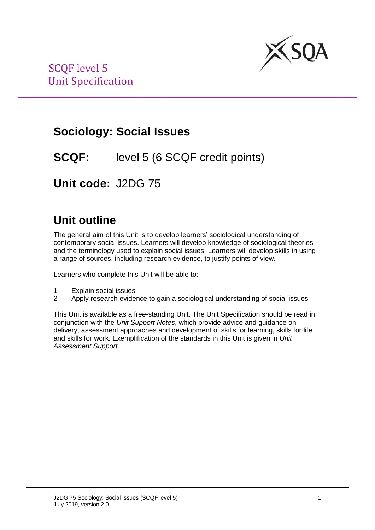

### **Sociology: Social Issues**

### **SCQF:** level 5 (6 SCQF credit points)

**Unit code:** J2DG 75

# **Unit outline**

The general aim of this Unit is to develop learners' sociological understanding of contemporary social issues. Learners will develop knowledge of sociological theories and the terminology used to explain social issues. Learners will develop skills in using a range of sources, including research evidence, to justify points of view.

Learners who complete this Unit will be able to:

- 1 Explain social issues
- 2 Apply research evidence to gain a sociological understanding of social issues

This Unit is available as a free-standing Unit. The Unit Specification should be read in conjunction with the *Unit Support Notes*, which provide advice and guidance on delivery, assessment approaches and development of skills for learning, skills for life and skills for work. Exemplification of the standards in this Unit is given in *Unit Assessment Support*.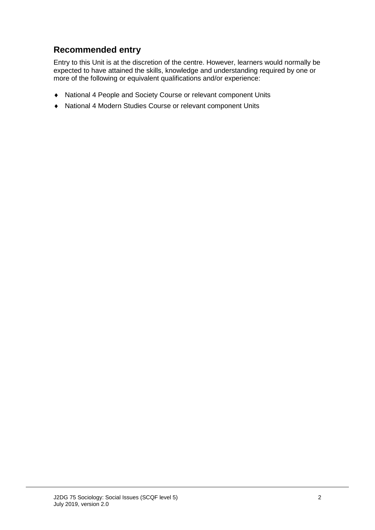### **Recommended entry**

Entry to this Unit is at the discretion of the centre. However, learners would normally be expected to have attained the skills, knowledge and understanding required by one or more of the following or equivalent qualifications and/or experience:

- ♦ National 4 People and Society Course or relevant component Units
- ♦ National 4 Modern Studies Course or relevant component Units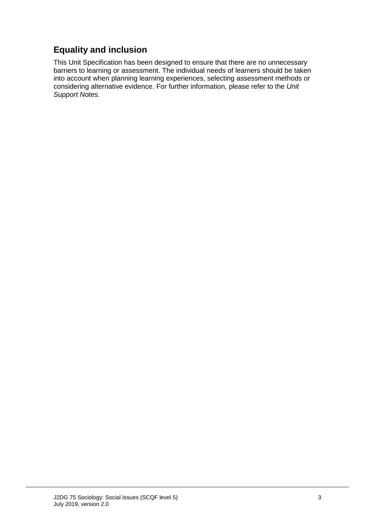### **Equality and inclusion**

This Unit Specification has been designed to ensure that there are no unnecessary barriers to learning or assessment. The individual needs of learners should be taken into account when planning learning experiences, selecting assessment methods or considering alternative evidence. For further information, please refer to the *Unit Support Notes.*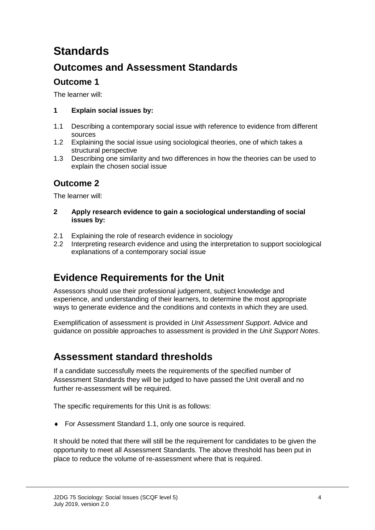# **Standards**

### **Outcomes and Assessment Standards**

### **Outcome 1**

The learner will:

#### **1 Explain social issues by:**

- 1.1 Describing a contemporary social issue with reference to evidence from different sources
- 1.2 Explaining the social issue using sociological theories, one of which takes a structural perspective
- 1.3 Describing one similarity and two differences in how the theories can be used to explain the chosen social issue

### **Outcome 2**

The learner will:

- **2 Apply research evidence to gain a sociological understanding of social issues by:**
- 2.1 Explaining the role of research evidence in sociology<br>2.2 Interpreting research evidence and using the interpre
- Interpreting research evidence and using the interpretation to support sociological explanations of a contemporary social issue

### **Evidence Requirements for the Unit**

Assessors should use their professional judgement, subject knowledge and experience, and understanding of their learners, to determine the most appropriate ways to generate evidence and the conditions and contexts in which they are used.

Exemplification of assessment is provided in *Unit Assessment Support*. Advice and guidance on possible approaches to assessment is provided in the *Unit Support Notes*.

### **Assessment standard thresholds**

If a candidate successfully meets the requirements of the specified number of Assessment Standards they will be judged to have passed the Unit overall and no further re-assessment will be required.

The specific requirements for this Unit is as follows:

♦ For Assessment Standard 1.1, only one source is required.

It should be noted that there will still be the requirement for candidates to be given the opportunity to meet all Assessment Standards. The above threshold has been put in place to reduce the volume of re-assessment where that is required.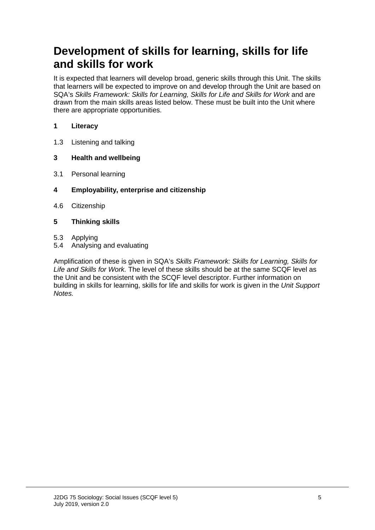# **Development of skills for learning, skills for life and skills for work**

It is expected that learners will develop broad, generic skills through this Unit. The skills that learners will be expected to improve on and develop through the Unit are based on SQA's *Skills Framework: Skills for Learning, Skills for Life and Skills for Work* and are drawn from the main skills areas listed below. These must be built into the Unit where there are appropriate opportunities.

#### **1 Literacy**

1.3 Listening and talking

#### **3 Health and wellbeing**

- 3.1 Personal learning
- **4 Employability, enterprise and citizenship**
- 4.6 Citizenship

#### **5 Thinking skills**

- 5.3 Applying
- 5.4 Analysing and evaluating

Amplification of these is given in SQA's *Skills Framework: Skills for Learning, Skills for Life and Skills for Work.* The level of these skills should be at the same SCQF level as the Unit and be consistent with the SCQF level descriptor. Further information on building in skills for learning, skills for life and skills for work is given in the *Unit Support Notes.*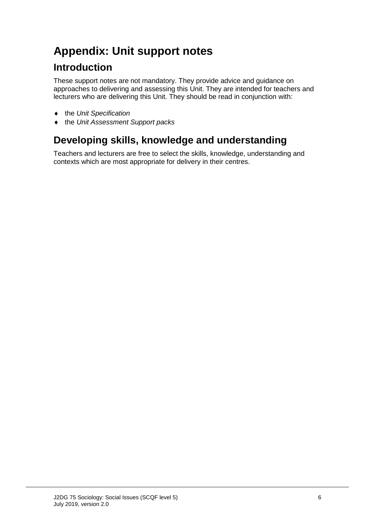# **Appendix: Unit support notes**

### **Introduction**

These support notes are not mandatory. They provide advice and guidance on approaches to delivering and assessing this Unit. They are intended for teachers and lecturers who are delivering this Unit. They should be read in conjunction with:

- ♦ the *Unit Specification*
- ♦ the *Unit Assessment Support packs*

# **Developing skills, knowledge and understanding**

Teachers and lecturers are free to select the skills, knowledge, understanding and contexts which are most appropriate for delivery in their centres.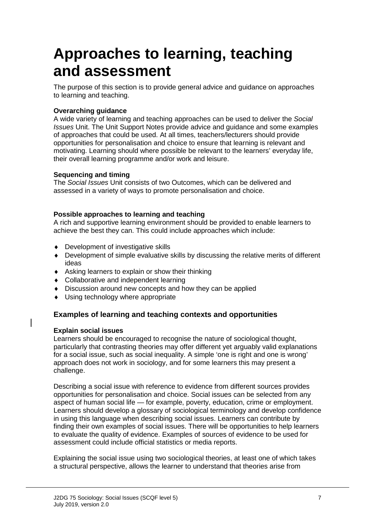# **Approaches to learning, teaching and assessment**

The purpose of this section is to provide general advice and guidance on approaches to learning and teaching.

#### **Overarching guidance**

A wide variety of learning and teaching approaches can be used to deliver the *Social Issues* Unit. The Unit Support Notes provide advice and guidance and some examples of approaches that could be used. At all times, teachers/lecturers should provide opportunities for personalisation and choice to ensure that learning is relevant and motivating. Learning should where possible be relevant to the learners' everyday life, their overall learning programme and/or work and leisure.

#### **Sequencing and timing**

The *Social Issues* Unit consists of two Outcomes, which can be delivered and assessed in a variety of ways to promote personalisation and choice.

#### **Possible approaches to learning and teaching**

A rich and supportive learning environment should be provided to enable learners to achieve the best they can. This could include approaches which include:

- ♦ Development of investigative skills
- ♦ Development of simple evaluative skills by discussing the relative merits of different ideas
- ♦ Asking learners to explain or show their thinking
- ♦ Collaborative and independent learning
- ♦ Discussion around new concepts and how they can be applied
- ♦ Using technology where appropriate

#### **Examples of learning and teaching contexts and opportunities**

#### **Explain social issues**

Learners should be encouraged to recognise the nature of sociological thought, particularly that contrasting theories may offer different yet arguably valid explanations for a social issue, such as social inequality. A simple 'one is right and one is wrong' approach does not work in sociology, and for some learners this may present a challenge.

Describing a social issue with reference to evidence from different sources provides opportunities for personalisation and choice. Social issues can be selected from any aspect of human social life — for example, poverty, education, crime or employment. Learners should develop a glossary of sociological terminology and develop confidence in using this language when describing social issues. Learners can contribute by finding their own examples of social issues. There will be opportunities to help learners to evaluate the quality of evidence. Examples of sources of evidence to be used for assessment could include official statistics or media reports.

Explaining the social issue using two sociological theories, at least one of which takes a structural perspective, allows the learner to understand that theories arise from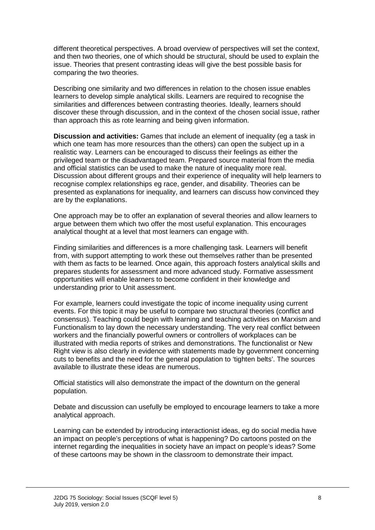different theoretical perspectives. A broad overview of perspectives will set the context, and then two theories, one of which should be structural, should be used to explain the issue. Theories that present contrasting ideas will give the best possible basis for comparing the two theories.

Describing one similarity and two differences in relation to the chosen issue enables learners to develop simple analytical skills. Learners are required to recognise the similarities and differences between contrasting theories. Ideally, learners should discover these through discussion, and in the context of the chosen social issue, rather than approach this as rote learning and being given information.

**Discussion and activities:** Games that include an element of inequality (eg a task in which one team has more resources than the others) can open the subject up in a realistic way. Learners can be encouraged to discuss their feelings as either the privileged team or the disadvantaged team. Prepared source material from the media and official statistics can be used to make the nature of inequality more real. Discussion about different groups and their experience of inequality will help learners to recognise complex relationships eg race, gender, and disability. Theories can be presented as explanations for inequality, and learners can discuss how convinced they are by the explanations.

One approach may be to offer an explanation of several theories and allow learners to argue between them which two offer the most useful explanation. This encourages analytical thought at a level that most learners can engage with.

Finding similarities and differences is a more challenging task. Learners will benefit from, with support attempting to work these out themselves rather than be presented with them as facts to be learned. Once again, this approach fosters analytical skills and prepares students for assessment and more advanced study. Formative assessment opportunities will enable learners to become confident in their knowledge and understanding prior to Unit assessment.

For example, learners could investigate the topic of income inequality using current events. For this topic it may be useful to compare two structural theories (conflict and consensus). Teaching could begin with learning and teaching activities on Marxism and Functionalism to lay down the necessary understanding. The very real conflict between workers and the financially powerful owners or controllers of workplaces can be illustrated with media reports of strikes and demonstrations. The functionalist or New Right view is also clearly in evidence with statements made by government concerning cuts to benefits and the need for the general population to 'tighten belts'. The sources available to illustrate these ideas are numerous.

Official statistics will also demonstrate the impact of the downturn on the general population.

Debate and discussion can usefully be employed to encourage learners to take a more analytical approach.

Learning can be extended by introducing interactionist ideas, eg do social media have an impact on people's perceptions of what is happening? Do cartoons posted on the internet regarding the inequalities in society have an impact on people's ideas? Some of these cartoons may be shown in the classroom to demonstrate their impact.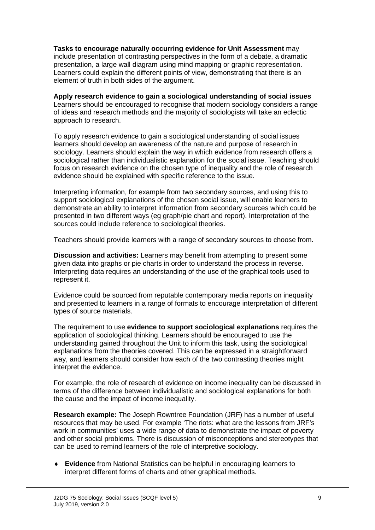**Tasks to encourage naturally occurring evidence for Unit Assessment** may include presentation of contrasting perspectives in the form of a debate, a dramatic presentation, a large wall diagram using mind mapping or graphic representation. Learners could explain the different points of view, demonstrating that there is an element of truth in both sides of the argument.

**Apply research evidence to gain a sociological understanding of social issues** Learners should be encouraged to recognise that modern sociology considers a range of ideas and research methods and the majority of sociologists will take an eclectic approach to research.

To apply research evidence to gain a sociological understanding of social issues learners should develop an awareness of the nature and purpose of research in sociology. Learners should explain the way in which evidence from research offers a sociological rather than individualistic explanation for the social issue. Teaching should focus on research evidence on the chosen type of inequality and the role of research evidence should be explained with specific reference to the issue.

Interpreting information, for example from two secondary sources, and using this to support sociological explanations of the chosen social issue, will enable learners to demonstrate an ability to interpret information from secondary sources which could be presented in two different ways (eg graph/pie chart and report). Interpretation of the sources could include reference to sociological theories.

Teachers should provide learners with a range of secondary sources to choose from.

**Discussion and activities:** Learners may benefit from attempting to present some given data into graphs or pie charts in order to understand the process in reverse. Interpreting data requires an understanding of the use of the graphical tools used to represent it.

Evidence could be sourced from reputable contemporary media reports on inequality and presented to learners in a range of formats to encourage interpretation of different types of source materials.

The requirement to use **evidence to support sociological explanations** requires the application of sociological thinking. Learners should be encouraged to use the understanding gained throughout the Unit to inform this task, using the sociological explanations from the theories covered. This can be expressed in a straightforward way, and learners should consider how each of the two contrasting theories might interpret the evidence.

For example, the role of research of evidence on income inequality can be discussed in terms of the difference between individualistic and sociological explanations for both the cause and the impact of income inequality.

**Research example:** The Joseph Rowntree Foundation (JRF) has a number of useful resources that may be used. For example 'The riots: what are the lessons from JRF's work in communities' uses a wide range of data to demonstrate the impact of poverty and other social problems. There is discussion of misconceptions and stereotypes that can be used to remind learners of the role of interpretive sociology.

♦ **Evidence** from National Statistics can be helpful in encouraging learners to interpret different forms of charts and other graphical methods.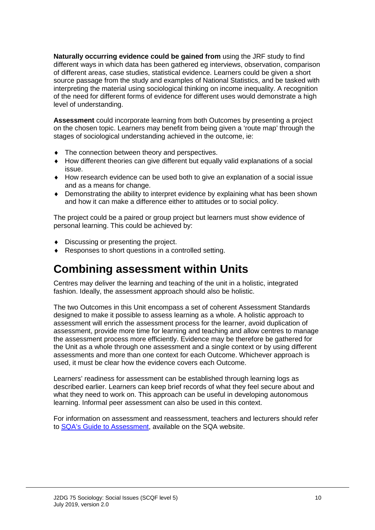**Naturally occurring evidence could be gained from** using the JRF study to find different ways in which data has been gathered eg interviews, observation, comparison of different areas, case studies, statistical evidence. Learners could be given a short source passage from the study and examples of National Statistics, and be tasked with interpreting the material using sociological thinking on income inequality. A recognition of the need for different forms of evidence for different uses would demonstrate a high level of understanding.

**Assessment** could incorporate learning from both Outcomes by presenting a project on the chosen topic. Learners may benefit from being given a 'route map' through the stages of sociological understanding achieved in the outcome, ie:

- The connection between theory and perspectives.
- ♦ How different theories can give different but equally valid explanations of a social issue.
- ♦ How research evidence can be used both to give an explanation of a social issue and as a means for change.
- ♦ Demonstrating the ability to interpret evidence by explaining what has been shown and how it can make a difference either to attitudes or to social policy.

The project could be a paired or group project but learners must show evidence of personal learning. This could be achieved by:

- ♦ Discussing or presenting the project.
- ♦ Responses to short questions in a controlled setting.

# **Combining assessment within Units**

Centres may deliver the learning and teaching of the unit in a holistic, integrated fashion. Ideally, the assessment approach should also be holistic.

The two Outcomes in this Unit encompass a set of coherent Assessment Standards designed to make it possible to assess learning as a whole. A holistic approach to assessment will enrich the assessment process for the learner, avoid duplication of assessment, provide more time for learning and teaching and allow centres to manage the assessment process more efficiently. Evidence may be therefore be gathered for the Unit as a whole through one assessment and a single context or by using different assessments and more than one context for each Outcome. Whichever approach is used, it must be clear how the evidence covers each Outcome.

Learners' readiness for assessment can be established through learning logs as described earlier. Learners can keep brief records of what they feel secure about and what they need to work on. This approach can be useful in developing autonomous learning. Informal peer assessment can also be used in this context.

For information on assessment and reassessment, teachers and lecturers should refer to [SQA's Guide to Assessment,](http://www.sqa.org.uk/files_ccc/Guide_To_Assessment.pdf) available on the SQA website.